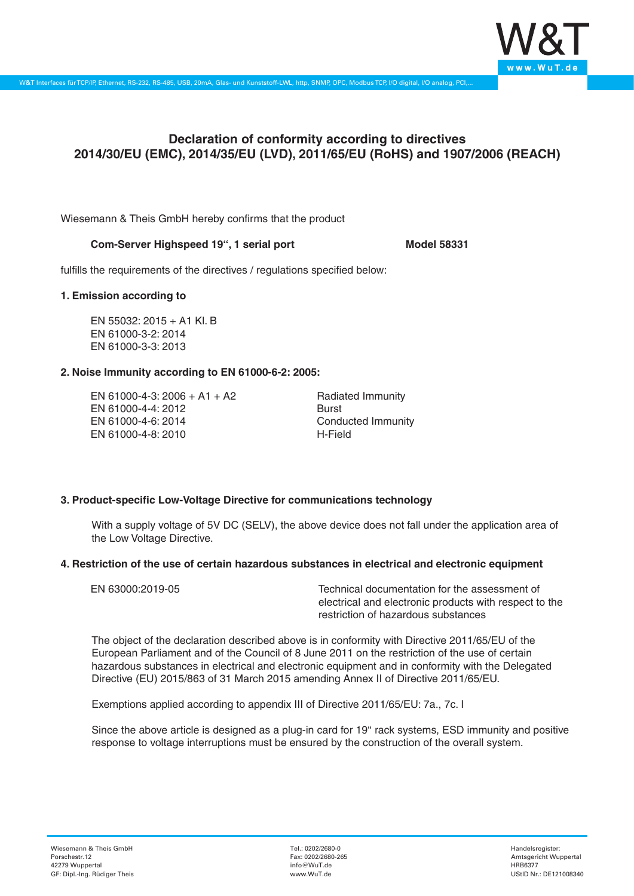

# **Declaration of conformity according to directives 2014/30/EU (EMC), 2014/35/EU (LVD), 2011/65/EU (RoHS) and 1907/2006 (REACH)**

Wiesemann & Theis GmbH hereby confirms that the product

# **Com-Server Highspeed 19'', 1 serial port Model 58331**

fulfills the requirements of the directives / regulations specified below:

#### **1. Emission according to**

EN 55032: 2015 + A1 Kl. B EN 61000-3-2: 2014 EN 61000-3-3: 2013

# **2. Noise Immunity according to EN 61000-6-2: 2005:**

EN 61000-4-3: 2006 + A1 + A2 EN 61000-4-4: 2012 EN 61000-4-6: 2014 EN 61000-4-8: 2010

Radiated Immunity Burst Conducted Immunity H-Field

# **3. Product-specific Low-Voltage Directive for communications technology**

With a supply voltage of 5V DC (SELV), the above device does not fall under the application area of the Low Voltage Directive.

#### **4. Restriction of the use of certain hazardous substances in electrical and electronic equipment**

| EN 63000:2019-05 | Technical documentation for the assessment of          |
|------------------|--------------------------------------------------------|
|                  | electrical and electronic products with respect to the |
|                  | restriction of hazardous substances                    |

The object of the declaration described above is in conformity with Directive 2011/65/EU of the European Parliament and of the Council of 8 June 2011 on the restriction of the use of certain hazardous substances in electrical and electronic equipment and in conformity with the Delegated Directive (EU) 2015/863 of 31 March 2015 amending Annex II of Directive 2011/65/EU.

Exemptions applied according to appendix III of Directive 2011/65/EU: 7a., 7c. I

Since the above article is designed as a plug-in card for 19" rack systems, ESD immunity and positive response to voltage interruptions must be ensured by the construction of the overall system.